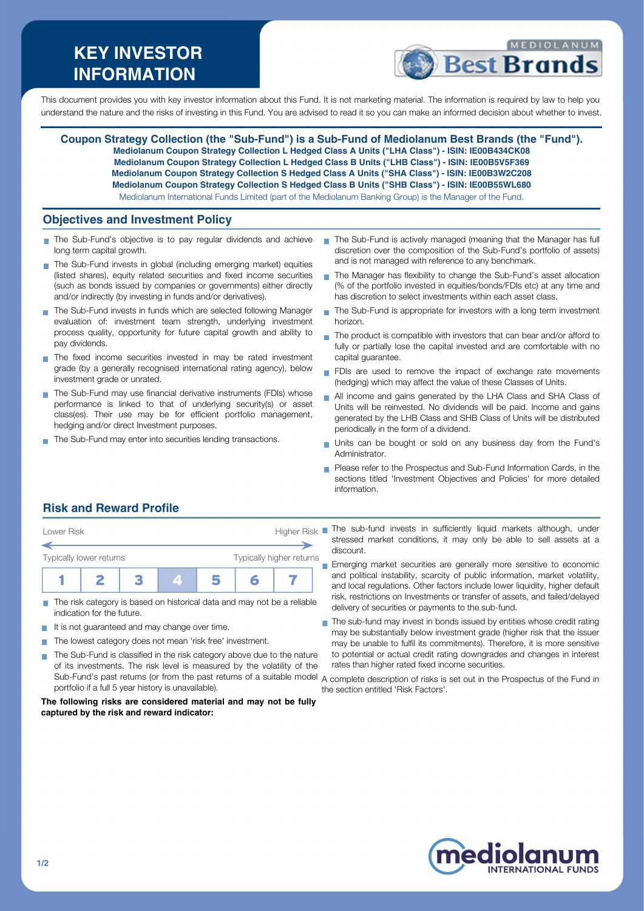# **KEY INVESTOR INFORMATION**



This document provides you with key investor information about this Fund. It is not marketing material. The information is required by law to help you understand the nature and the risks of investing in this Fund. You are advised to read it so you can make an informed decision about whether to invest.

**Coupon Strategy Collection (the "Sub-Fund") is a Sub-Fund of Mediolanum Best Brands (the "Fund"). Mediolanum Coupon Strategy Collection L Hedged Class A Units ("LHA Class") - ISIN: IE00B434CK08 Mediolanum Coupon Strategy Collection L Hedged Class B Units ("LHB Class") - ISIN: IE00B5V5F369 Mediolanum Coupon Strategy Collection S Hedged Class A Units ("SHA Class") - ISIN: IE00B3W2C208 Mediolanum Coupon Strategy Collection S Hedged Class B Units ("SHB Class") - ISIN: IE00B55WL680** Mediolanum International Funds Limited (part of the Mediolanum Banking Group) is the Manager of the Fund.

### **Objectives and Investment Policy**

- The Sub-Fund's objective is to pay regular dividends and achieve m. long term capital growth.
- The Sub-Fund invests in global (including emerging market) equities (listed shares), equity related securities and fixed income securities (such as bonds issued by companies or governments) either directly and/or indirectly (by investing in funds and/or derivatives).
- The Sub-Fund invests in funds which are selected following Manager evaluation of: investment team strength, underlying investment process quality, opportunity for future capital growth and ability to pay dividends.
- The fixed income securities invested in may be rated investment grade (by a generally recognised international rating agency), below investment grade or unrated.
- The Sub-Fund may use financial derivative instruments (FDIs) whose performance is linked to that of underlying security(s) or asset class(es). Their use may be for efficient portfolio management, hedging and/or direct Investment purposes.
- The Sub-Fund may enter into securities lending transactions.
- The Sub-Fund is actively managed (meaning that the Manager has full discretion over the composition of the Sub-Fund's portfolio of assets) and is not managed with reference to any benchmark.
- The Manager has flexibility to change the Sub-Fund's asset allocation (% of the portfolio invested in equities/bonds/FDIs etc) at any time and has discretion to select investments within each asset class
- The Sub-Fund is appropriate for investors with a long term investment  $\mathbf{r}$ horizon.
- $\mathcal{L}_{\mathcal{A}}$ The product is compatible with investors that can bear and/or afford to fully or partially lose the capital invested and are comfortable with no capital guarantee.
- FDIs are used to remove the impact of exchange rate movements (hedging) which may affect the value of these Classes of Units.
- All income and gains generated by the LHA Class and SHA Class of Units will be reinvested. No dividends will be paid. Income and gains generated by the LHB Class and SHB Class of Units will be distributed periodically in the form of a dividend.
- Units can be bought or sold on any business day from the Fund's **Administrator**
- Please refer to the Prospectus and Sub-Fund Information Cards, in the sections titled 'Investment Objectives and Policies' for more detailed information.

## **Risk and Reward Profile**



- The risk category is based on historical data and may not be a reliable  $\overline{\phantom{a}}$ indication for the future.
- It is not guaranteed and may change over time.
- The lowest category does not mean 'risk free' investment.  $\sim$
- The Sub-Fund is classified in the risk category above due to the nature of its investments. The risk level is measured by the volatility of the Sub-Fund's past returns (or from the past returns of a suitable model A complete description of risks is set out in the Prospectus of the Fund in portfolio if a full 5 year history is unavailable).

#### **The following risks are considered material and may not be fully captured by the risk and reward indicator:**

- Lower Risk **Higher Risk** The sub-fund invests in sufficiently liquid markets although, under stressed market conditions, it may only be able to sell assets at a discount.
	- Emerging market securities are generally more sensitive to economic and political instability, scarcity of public information, market volatility, and local regulations. Other factors include lower liquidity, higher default risk, restrictions on Investments or transfer of assets, and failed/delayed delivery of securities or payments to the sub-fund.
	- The sub-fund may invest in bonds issued by entities whose credit rating may be substantially below investment grade (higher risk that the issuer may be unable to fulfil its commitments). Therefore, it is more sensitive to potential or actual credit rating downgrades and changes in interest rates than higher rated fixed income securities.
	- the section entitled 'Risk Factors'.